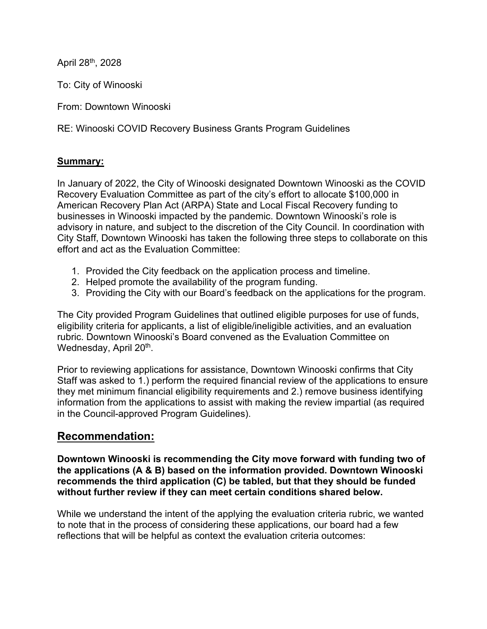April 28th, 2028

To: City of Winooski

From: Downtown Winooski

RE: Winooski COVID Recovery Business Grants Program Guidelines

#### **Summary:**

In January of 2022, the City of Winooski designated Downtown Winooski as the COVID Recovery Evaluation Committee as part of the city's effort to allocate \$100,000 in American Recovery Plan Act (ARPA) State and Local Fiscal Recovery funding to businesses in Winooski impacted by the pandemic. Downtown Winooski's role is advisory in nature, and subject to the discretion of the City Council. In coordination with City Staff, Downtown Winooski has taken the following three steps to collaborate on this effort and act as the Evaluation Committee:

- 1. Provided the City feedback on the application process and timeline.
- 2. Helped promote the availability of the program funding.
- 3. Providing the City with our Board's feedback on the applications for the program.

The City provided Program Guidelines that outlined eligible purposes for use of funds, eligibility criteria for applicants, a list of eligible/ineligible activities, and an evaluation rubric. Downtown Winooski's Board convened as the Evaluation Committee on Wednesday, April 20<sup>th</sup>.

Prior to reviewing applications for assistance, Downtown Winooski confirms that City Staff was asked to 1.) perform the required financial review of the applications to ensure they met minimum financial eligibility requirements and 2.) remove business identifying information from the applications to assist with making the review impartial (as required in the Council-approved Program Guidelines).

#### **Recommendation:**

**Downtown Winooski is recommending the City move forward with funding two of the applications (A & B) based on the information provided. Downtown Winooski recommends the third application (C) be tabled, but that they should be funded without further review if they can meet certain conditions shared below.** 

While we understand the intent of the applying the evaluation criteria rubric, we wanted to note that in the process of considering these applications, our board had a few reflections that will be helpful as context the evaluation criteria outcomes: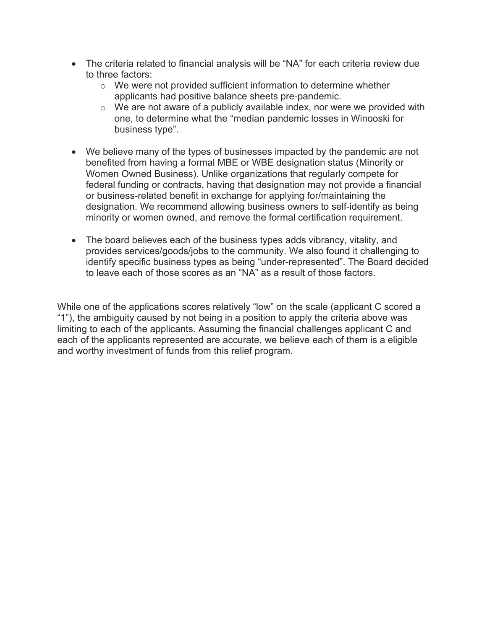- The criteria related to financial analysis will be "NA" for each criteria review due to three factors:
	- o We were not provided sufficient information to determine whether applicants had positive balance sheets pre-pandemic.
	- $\circ$  We are not aware of a publicly available index, nor were we provided with one, to determine what the "median pandemic losses in Winooski for business type".
- We believe many of the types of businesses impacted by the pandemic are not benefited from having a formal MBE or WBE designation status (Minority or Women Owned Business). Unlike organizations that regularly compete for federal funding or contracts, having that designation may not provide a financial or business-related benefit in exchange for applying for/maintaining the designation. We recommend allowing business owners to self-identify as being minority or women owned, and remove the formal certification requirement.
- The board believes each of the business types adds vibrancy, vitality, and provides services/goods/jobs to the community. We also found it challenging to identify specific business types as being "under-represented". The Board decided to leave each of those scores as an "NA" as a result of those factors.

While one of the applications scores relatively "low" on the scale (applicant C scored a "1"), the ambiguity caused by not being in a position to apply the criteria above was limiting to each of the applicants. Assuming the financial challenges applicant C and each of the applicants represented are accurate, we believe each of them is a eligible and worthy investment of funds from this relief program.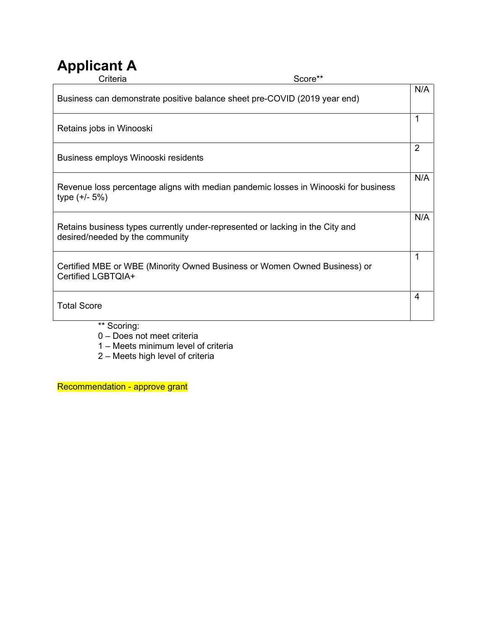# **Applicant A**

| Criteria                                                                                                         | Score** |                |
|------------------------------------------------------------------------------------------------------------------|---------|----------------|
| Business can demonstrate positive balance sheet pre-COVID (2019 year end)                                        |         | N/A            |
| Retains jobs in Winooski                                                                                         |         | 1              |
| Business employs Winooski residents                                                                              |         | $\overline{2}$ |
| Revenue loss percentage aligns with median pandemic losses in Winooski for business<br>type $(+/- 5%)$           |         | N/A            |
| Retains business types currently under-represented or lacking in the City and<br>desired/needed by the community |         | N/A            |
| Certified MBE or WBE (Minority Owned Business or Women Owned Business) or<br>Certified LGBTQIA+                  |         |                |
| <b>Total Score</b>                                                                                               |         | 4              |
| ** Scoring:                                                                                                      |         |                |

- 0 Does not meet criteria
	- 1 Meets minimum level of criteria
	- 2 Meets high level of criteria

Recommendation - approve grant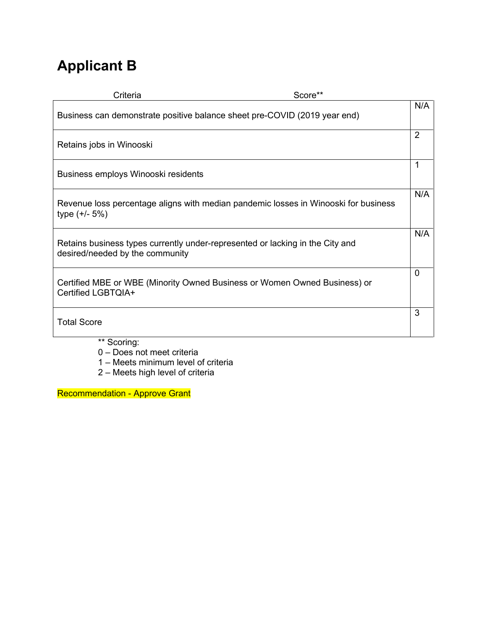# **Applicant B**

| Criteria                                                                                                         | Score**                                                                             |                |
|------------------------------------------------------------------------------------------------------------------|-------------------------------------------------------------------------------------|----------------|
| Business can demonstrate positive balance sheet pre-COVID (2019 year end)                                        |                                                                                     | N/A            |
| Retains jobs in Winooski                                                                                         |                                                                                     | $\overline{2}$ |
| Business employs Winooski residents                                                                              |                                                                                     | $\mathbf{1}$   |
| type $(+/- 5%)$                                                                                                  | Revenue loss percentage aligns with median pandemic losses in Winooski for business | N/A            |
| Retains business types currently under-represented or lacking in the City and<br>desired/needed by the community |                                                                                     | N/A            |
| Certified MBE or WBE (Minority Owned Business or Women Owned Business) or<br>Certified LGBTQIA+                  |                                                                                     | $\Omega$       |
| <b>Total Score</b>                                                                                               |                                                                                     | 3              |
| ** Scoring:                                                                                                      |                                                                                     |                |

- 0 Does not meet criteria
	- 1 Meets minimum level of criteria
	- 2 Meets high level of criteria

Recommendation - Approve Grant